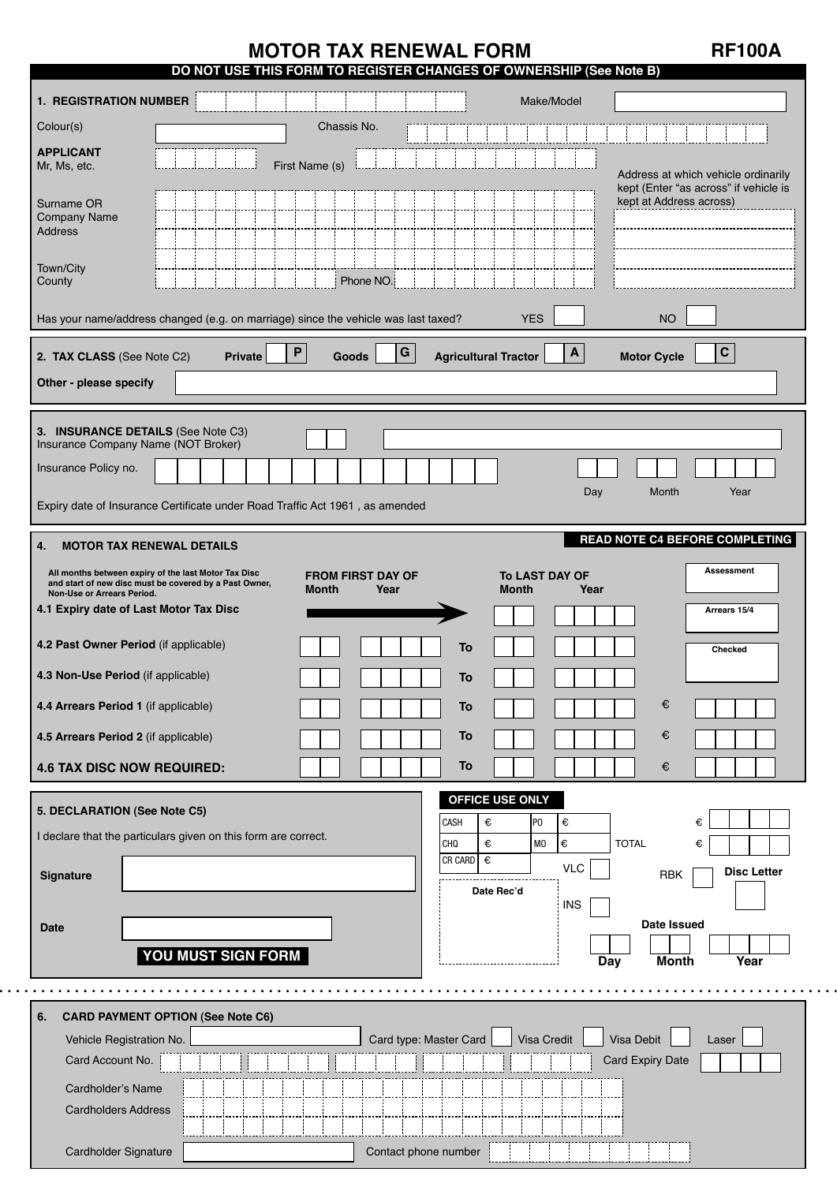# **MOTOR TAX RENEWAL FORM RE100A**

| DO NOT USE THIS FORM TO REGISTER CHANGES OF OWNERSHIP (See Note B)                                                                                                                                                            |                         |
|-------------------------------------------------------------------------------------------------------------------------------------------------------------------------------------------------------------------------------|-------------------------|
| <b>1. REGISTRATION NUMBER</b><br>Make/Model                                                                                                                                                                                   |                         |
| Chassis No.<br>Colour(s)                                                                                                                                                                                                      |                         |
| <b>APPLICANT</b><br>First Name (s)<br>Mr, Ms, etc.<br>Address at which vehicle ordinarily                                                                                                                                     |                         |
| kept (Enter "as across" if vehicle is<br>kept at Address across)<br>Surname OR<br>Company Name<br><b>Address</b>                                                                                                              |                         |
| Town/City<br>Phone NO.<br>County                                                                                                                                                                                              |                         |
| Has your name/address changed (e.g. on marriage) since the vehicle was last taxed?<br><b>YES</b><br><b>NO</b>                                                                                                                 |                         |
| ${\bf G}$<br>$\boldsymbol{\mathsf{P}}$<br>$\mathbf{A}$<br>2. TAX CLASS (See Note C2)<br><b>Agricultural Tractor</b><br><b>Motor Cycle</b><br><b>Private</b><br><b>Goods</b>                                                   | $\mathbf C$             |
| Other - please specify                                                                                                                                                                                                        |                         |
|                                                                                                                                                                                                                               |                         |
| 3. INSURANCE DETAILS (See Note C3)<br>Insurance Company Name (NOT Broker)                                                                                                                                                     |                         |
| Insurance Policy no.                                                                                                                                                                                                          |                         |
| Day<br>Month<br>Expiry date of Insurance Certificate under Road Traffic Act 1961, as amended                                                                                                                                  | Year                    |
| <b>READ NOTE C4 BEFORE COMPLETING</b><br><b>MOTOR TAX RENEWAL DETAILS</b><br>4.                                                                                                                                               |                         |
| and start of new disc must be covered by a Past Owner,<br><b>Month</b><br>Year<br><b>Month</b><br>Year<br>Non-Use or Arrears Period.<br>4.1 Expiry date of Last Motor Tax Disc<br>4.2 Past Owner Period (if applicable)<br>To | Arrears 15/4<br>Checked |
| 4.3 Non-Use Period (if applicable)<br>To                                                                                                                                                                                      |                         |
| €<br>4.4 Arrears Period 1 (if applicable)<br>To                                                                                                                                                                               |                         |
| €<br>4.5 Arrears Period 2 (if applicable)<br>To                                                                                                                                                                               |                         |
| <b>4.6 TAX DISC NOW REQUIRED:</b><br>To<br>€                                                                                                                                                                                  |                         |
| OFFICE USE ONLY<br>5. DECLARATION (See Note C5)                                                                                                                                                                               |                         |
| €<br>CASH<br>€<br>P <sub>0</sub><br>€<br>I declare that the particulars given on this form are correct.<br>l€<br>€<br>M <sub>0</sub><br><b>TOTAL</b><br><b>CHQ</b><br>€                                                       |                         |
| $CR$ CARD $\overline{\epsilon}$<br><b>VLC</b><br>RBK<br>Signature                                                                                                                                                             | <b>Disc Letter</b>      |
| Date Rec'd<br><b>INS</b>                                                                                                                                                                                                      |                         |
| Date Issued<br><b>Date</b>                                                                                                                                                                                                    |                         |
| YOU MUST SIGN FORM<br><b>Month</b><br>Day                                                                                                                                                                                     | Year                    |
|                                                                                                                                                                                                                               |                         |
|                                                                                                                                                                                                                               |                         |
| <b>CARD PAYMENT OPTION (See Note C6)</b><br>6.                                                                                                                                                                                |                         |
| Visa Debit<br>Card type: Master Card<br>Visa Credit<br>Vehicle Registration No.                                                                                                                                               | Laser                   |
| Card Account No.<br><b>Card Expiry Date</b>                                                                                                                                                                                   |                         |
| Cardholder's Name<br><b>Cardholders Address</b>                                                                                                                                                                               |                         |